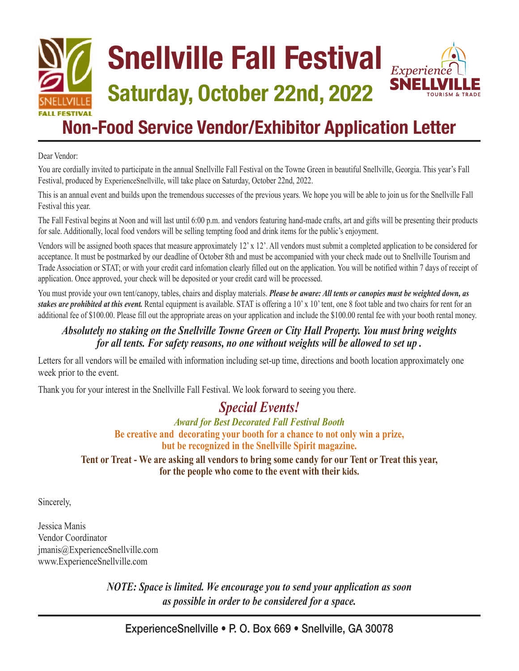## **Snellville Fall Festival** *Experience* SNELL **Saturday, October 22nd, 2022 TOURISM & TRADE**

## **Non-Food Service Vendor/Exhibitor Application Letter**

Dear Vendor:

You are cordially invited to participate in the annual Snellville Fall Festival on the Towne Green in beautiful Snellville, Georgia. This year's Fall Festival, produced by ExperienceSnellville, will take place on Saturday, October 22nd, 2022.

This is an annual event and builds upon the tremendous successes of the previous years. We hope you will be able to join us for the Snellville Fall Festival this year.

The Fall Festival begins at Noon and will last until 6:00 p.m. and vendors featuring hand-made crafts, art and gifts will be presenting their products for sale. Additionally, local food vendors will be selling tempting food and drink items for the public's enjoyment.

Vendors will be assigned booth spaces that measure approximately 12' x 12'. All vendors must submit a completed application to be considered for acceptance. It must be postmarked by our deadline of October 8th and must be accompanied with your check made out to Snellville Tourism and Trade Association or STAT; or with your credit card infomation clearly filled out on the application. You will be notified within 7 days of receipt of application. Once approved, your check will be deposited or your credit card will be processed.

You must provide your own tent/canopy, tables, chairs and display materials. *Please be aware: All tents or canopies must be weighted down, as stakes are prohibited at this event.* Rental equipment is available. STAT is offering a 10' x 10' tent, one 8 foot table and two chairs for rent for an additional fee of \$100.00. Please fill out the appropriate areas on your application and include the \$100.00 rental fee with your booth rental money.

#### *Absolutely no staking on the Snellville Towne Green or City Hall Property. You must bring weights for all tents. For safety reasons, no one without weights will be allowed to set up .*

Letters for all vendors will be emailed with information including set-up time, directions and booth location approximately one week prior to the event.

Thank you for your interest in the Snellville Fall Festival. We look forward to seeing you there.

### *Special Events!*

#### *Award for Best Decorated Fall Festival Booth*  **Be creative and decorating your booth for a chance to not only win a prize, but be recognized in the Snellville Spirit magazine.**

#### **Tent or Treat - We are asking all vendors to bring some candy for our Tent or Treat this year, for the people who come to the event with their kids.**

Sincerely,

Jessica Manis Vendor Coordinator jmanis@ExperienceSnellville.com www.ExperienceSnellville.com

> *NOTE: Space is limited. We encourage you to send your application as soon as possible in order to be considered for a space.*

**ExperienceSnellville • P. O. Box 669 • Snellville, GA 30078**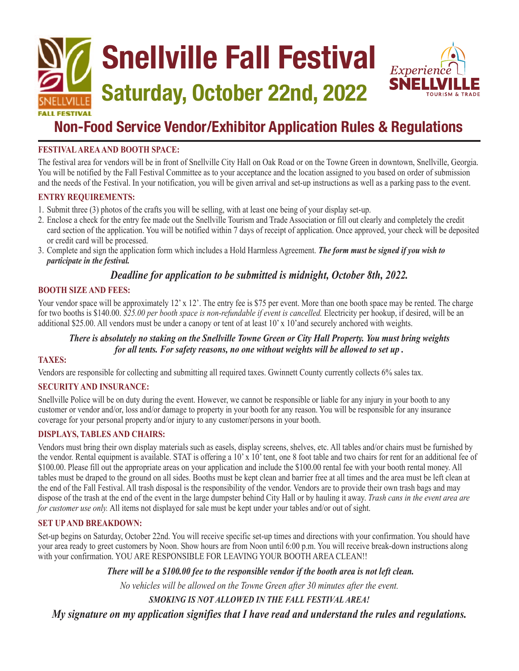



#### **FESTIVAL AREA AND BOOTH SPACE:**

The festival area for vendors will be in front of Snellville City Hall on Oak Road or on the Towne Green in downtown, Snellville, Georgia. You will be notified by the Fall Festival Committee as to your acceptance and the location assigned to you based on order of submission and the needs of the Festival. In your notification, you will be given arrival and set-up instructions as well as a parking pass to the event.

#### **ENTRY REQUIREMENTS:**

- 1. Submit three (3) photos of the crafts you will be selling, with at least one being of your display set-up.
- 2. Enclose a check for the entry fee made out the Snellville Tourism and Trade Association or fill out clearly and completely the credit card section of the application. You will be notified within 7 days of receipt of application. Once approved, your check will be deposited or credit card will be processed.
- 3. Complete and sign the application form which includes a Hold Harmless Agreement. *The form must be signed if you wish to participate in the festival.*

#### *Deadline for application to be submitted is midnight, October 8th, 2022.*

#### **BOOTH SIZE AND FEES:**

Your vendor space will be approximately 12' x 12'. The entry fee is \$75 per event. More than one booth space may be rented. The charge for two booths is \$140.00. *\$25.00 per booth space is non-refundable if event is cancelled.* Electricity per hookup, if desired, will be an additional \$25.00. All vendors must be under a canopy or tent of at least 10' x 10'and securely anchored with weights.

#### *There is absolutely no staking on the Snellville Towne Green or City Hall Property. You must bring weights for all tents. For safety reasons, no one without weights will be allowed to set up .*

#### **TAXES:**

Vendors are responsible for collecting and submitting all required taxes. Gwinnett County currently collects 6% sales tax.

#### **SECURITY AND INSURANCE:**

Snellville Police will be on duty during the event. However, we cannot be responsible or liable for any injury in your booth to any customer or vendor and/or, loss and/or damage to property in your booth for any reason. You will be responsible for any insurance coverage for your personal property and/or injury to any customer/persons in your booth.

#### **DISPLAYS, TABLES AND CHAIRS:**

Vendors must bring their own display materials such as easels, display screens, shelves, etc. All tables and/or chairs must be furnished by the vendor. Rental equipment is available. STAT is offering a  $10' \times 10'$  tent, one 8 foot table and two chairs for rent for an additional fee of \$100.00. Please fill out the appropriate areas on your application and include the \$100.00 rental fee with your booth rental money. All tables must be draped to the ground on all sides. Booths must be kept clean and barrier free at all times and the area must be left clean at the end of the Fall Festival. All trash disposal is the responsibility of the vendor. Vendors are to provide their own trash bags and may dispose of the trash at the end of the event in the large dumpster behind City Hall or by hauling it away. *Trash cans in the event area are for customer use only.* All items not displayed for sale must be kept under your tables and/or out of sight.

#### **SET UP AND BREAKDOWN:**

Set-up begins on Saturday, October 22nd. You will receive specific set-up times and directions with your confirmation. You should have your area ready to greet customers by Noon. Show hours are from Noon until 6:00 p.m. You will receive break-down instructions along with your confirmation. YOU ARE RESPONSIBLE FOR LEAVING YOUR BOOTH AREA CLEAN!!

*There will be a \$100.00 fee to the responsible vendor if the booth area is not left clean.*

*No vehicles will be allowed on the Towne Green after 30 minutes after the event.* 

*SMOKING IS NOT ALLOWED IN THE FALL FESTIVAL AREA!* 

*My signature on my application signifies that I have read and understand the rules and regulations.*